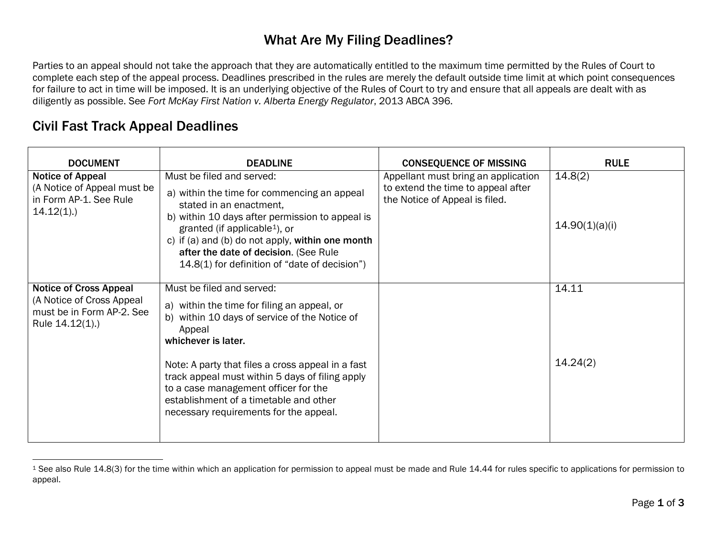## <span id="page-0-0"></span>What Are My Filing Deadlines?

Parties to an appeal should not take the approach that they are automatically entitled to the maximum time permitted by the Rules of Court to complete each step of the appeal process. Deadlines prescribed in the rules are merely the default outside time limit at which point consequences for failure to act in time will be imposed. It is an underlying objective of the Rules of Court to try and ensure that all appeals are dealt with as diligently as possible. See *Fort McKay First Nation v. Alberta Energy Regulator*, 2013 ABCA 396.

## Civil Fast Track Appeal Deadlines

| <b>DOCUMENT</b>                                                                                            | <b>DEADLINE</b>                                                                                                                                                                                                                                                                                                                                                                                | <b>CONSEQUENCE OF MISSING</b>                                                                               | <b>RULE</b>               |
|------------------------------------------------------------------------------------------------------------|------------------------------------------------------------------------------------------------------------------------------------------------------------------------------------------------------------------------------------------------------------------------------------------------------------------------------------------------------------------------------------------------|-------------------------------------------------------------------------------------------------------------|---------------------------|
| <b>Notice of Appeal</b><br>(A Notice of Appeal must be<br>in Form AP-1. See Rule<br>$14.12(1)$ .)          | Must be filed and served:<br>a) within the time for commencing an appeal<br>stated in an enactment,<br>b) within 10 days after permission to appeal is<br>granted (if applicable <sup>1</sup> ), or<br>c) if (a) and (b) do not apply, within one month<br>after the date of decision. (See Rule<br>14.8(1) for definition of "date of decision")                                              | Appellant must bring an application<br>to extend the time to appeal after<br>the Notice of Appeal is filed. | 14.8(2)<br>14.90(1)(a)(i) |
| <b>Notice of Cross Appeal</b><br>(A Notice of Cross Appeal<br>must be in Form AP-2. See<br>Rule 14.12(1).) | Must be filed and served:<br>a) within the time for filing an appeal, or<br>b) within 10 days of service of the Notice of<br>Appeal<br>whichever is later.<br>Note: A party that files a cross appeal in a fast<br>track appeal must within 5 days of filing apply<br>to a case management officer for the<br>establishment of a timetable and other<br>necessary requirements for the appeal. |                                                                                                             | 14.11<br>14.24(2)         |

<sup>&</sup>lt;sup>1</sup> See also Rule 14.8(3) for the time within which an application for permission to appeal must be made and Rule 14.44 for rules specific to applications for permission to appeal.  $\overline{a}$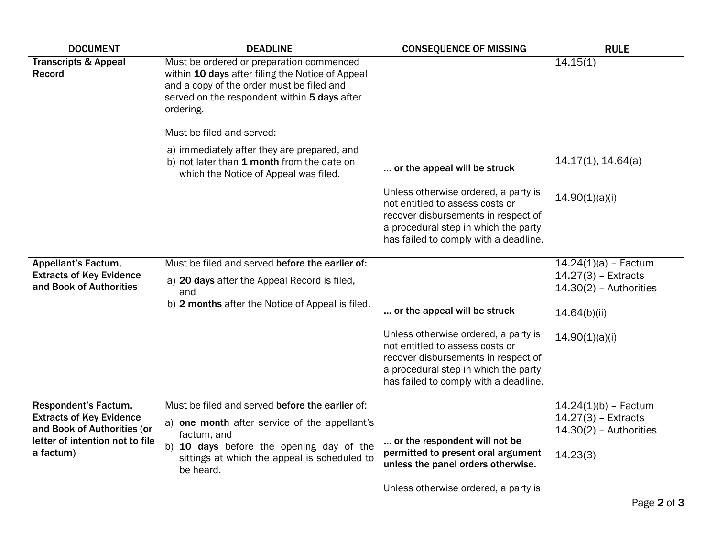| <b>DOCUMENT</b>                                                                                                                        | <b>DEADLINE</b>                                                                                                                                                                                                                                                                                                                                                           | <b>CONSEQUENCE OF MISSING</b>                                                                                                                                                                                                   | <b>RULE</b>                                                                                                   |
|----------------------------------------------------------------------------------------------------------------------------------------|---------------------------------------------------------------------------------------------------------------------------------------------------------------------------------------------------------------------------------------------------------------------------------------------------------------------------------------------------------------------------|---------------------------------------------------------------------------------------------------------------------------------------------------------------------------------------------------------------------------------|---------------------------------------------------------------------------------------------------------------|
| <b>Transcripts &amp; Appeal</b><br>Record                                                                                              | Must be ordered or preparation commenced<br>within 10 days after filing the Notice of Appeal<br>and a copy of the order must be filed and<br>served on the respondent within 5 days after<br>ordering.<br>Must be filed and served:<br>a) immediately after they are prepared, and<br>b) not later than 1 month from the date on<br>which the Notice of Appeal was filed. | or the appeal will be struck                                                                                                                                                                                                    | 14.15(1)<br>14.17(1), 14.64(a)                                                                                |
|                                                                                                                                        |                                                                                                                                                                                                                                                                                                                                                                           | Unless otherwise ordered, a party is<br>not entitled to assess costs or<br>recover disbursements in respect of<br>a procedural step in which the party<br>has failed to comply with a deadline.                                 | 14.90(1)(a)(i)                                                                                                |
| Appellant's Factum,<br><b>Extracts of Key Evidence</b><br>and Book of Authorities                                                      | Must be filed and served before the earlier of:<br>a) 20 days after the Appeal Record is filed,<br>and<br>b) 2 months after the Notice of Appeal is filed.                                                                                                                                                                                                                | or the appeal will be struck<br>Unless otherwise ordered, a party is<br>not entitled to assess costs or<br>recover disbursements in respect of<br>a procedural step in which the party<br>has failed to comply with a deadline. | $14.24(1)(a) - Factor$<br>$14.27(3)$ - Extracts<br>$14.30(2)$ - Authorities<br>14.64(b)(ii)<br>14.90(1)(a)(i) |
| Respondent's Factum,<br><b>Extracts of Key Evidence</b><br>and Book of Authorities (or<br>letter of intention not to file<br>a factum) | Must be filed and served before the earlier of:<br>a) one month after service of the appellant's<br>factum, and<br>b) 10 days before the opening day of the<br>sittings at which the appeal is scheduled to<br>be heard.                                                                                                                                                  | or the respondent will not be<br>permitted to present oral argument<br>unless the panel orders otherwise.<br>Unless otherwise ordered, a party is                                                                               | $14.24(1)(b) - Factor$<br>$14.27(3)$ - Extracts<br>$14.30(2)$ - Authorities<br>14.23(3)                       |